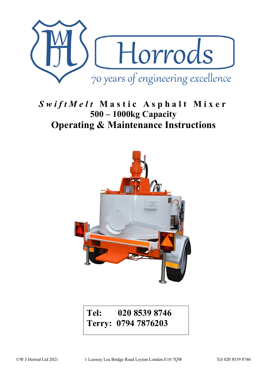

# *SwiftMelt* **Mastic Asphalt Mixer 500 – 1000kg Capacity Operating & Maintenance Instructions**



# **Tel: 020 8539 8746 Terry: 0794 7876203**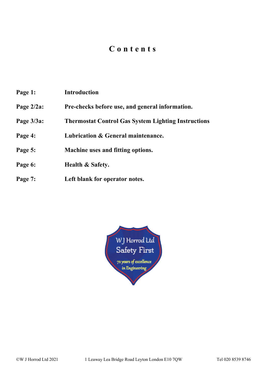## **Contents**

**Page 1: Introduction Page 2/2a: Pre-checks before use, and general information. Page 3/3a: Thermostat Control Gas System Lighting Instructions Page 4: Lubrication & General maintenance. Page 5: Machine uses and fitting options. Page 6: Health & Safety. Page 7: Left blank for operator notes.**

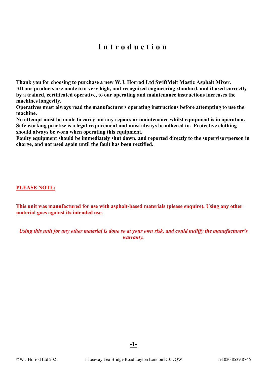# **Introduction**

**Thank you for choosing to purchase a new W.J. Horrod Ltd SwiftMelt Mastic Asphalt Mixer. All our products are made to a very high, and recognised engineering standard, and if used correctly by a trained, certificated operative, to our operating and maintenance instructions increases the machines longevity.** 

**Operatives must always read the manufacturers operating instructions before attempting to use the machine.** 

**No attempt must be made to carry out any repairs or maintenance whilst equipment is in operation. Safe working practise is a legal requirement and must always be adhered to. Protective clothing should always be worn when operating this equipment.** 

**Faulty equipment should be immediately shut down, and reported directly to the supervisor/person in charge, and not used again until the fault has been rectified.** 

**PLEASE NOTE:** 

**This unit was manufactured for use with asphalt-based materials (please enquire). Using any other material goes against its intended use.**

*Using this unit for any other material is done so at your own risk, and could nullify the manufacturer's warranty.*

**-1-**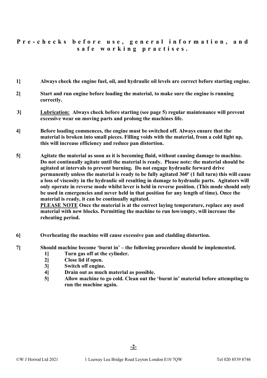### **Pre - checks before use, general information, and safe working practises.**

- **1] Always check the engine fuel, oil, and hydraulic oil levels are correct before starting engine.**
- **2] Start and run engine before loading the material, to make sure the engine is running correctly.**
- **3] Lubrication: Always check before starting (see page 5) regular maintenance will prevent excessive wear on moving parts and prolong the machines life.**
- **4] Before loading commences, the engine must be switched off. Always ensure that the material is broken into small pieces. Filling voids with the material, from a cold light up, this will increase efficiency and reduce pan distortion.**
- **5] Agitate the material as soon as it is becoming fluid, without causing damage to machine. Do not continually agitate until the material is ready. Please note: the material should be agitated at intervals to prevent burning. Do not engage hydraulic forward drive permanently unless the material is ready to be fully agitated 360º (1 full turn) this will cause a loss of viscosity in the hydraulic oil resulting in damage to hydraulic parts. Agitators will only operate in reverse mode whilst lever is held in reverse position. (This mode should only be used in emergencies and never held in that position for any length of time). Once the material is ready, it can be continually agitated.**

**PLEASE NOTE Once the material is at the correct laying temperature, replace any used material with new blocks. Permitting the machine to run low/empty, will increase the reheating period.**

- **6] Overheating the machine will cause excessive pan and cladding distortion.**
- **7] Should machine become 'burnt in' the following procedure should be implemented.** 
	- **1] Turn gas off at the cylinder.**
	- **2] Close lid if open.**
	- **3] Switch off engine.**
	- **4] Drain out as much material as possible.**
	- **5] Allow machine to go cold. Clean out the 'burnt in' material before attempting to run the machine again.**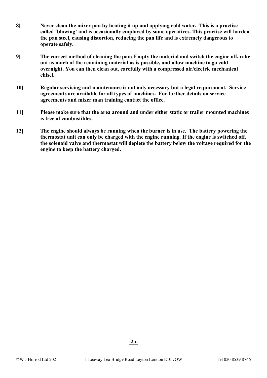- **8] Never clean the mixer pan by heating it up and applying cold water. This is a practise called 'blowing' and is occasionally employed by some operatives. This practise will harden the pan steel, causing distortion, reducing the pan life and is extremely dangerous to operate safely.**
- **9] The correct method of cleaning the pan; Empty the material and switch the engine off, rake out as much of the remaining material as is possible, and allow machine to go cold overnight. You can then clean out, carefully with a compressed air/electric mechanical chisel.**
- **10] Regular servicing and maintenance is not only necessary but a legal requirement. Service agreements are available for all types of machines. For further details on service agreements and mixer man training contact the office.**
- **11] Please make sure that the area around and under either static or trailer mounted machines is free of combustibles.**
- **12] The engine should always be running when the burner is in use. The battery powering the thermostat unit can only be charged with the engine running. If the engine is switched off, the solenoid valve and thermostat will deplete the battery below the voltage required for the engine to keep the battery charged.**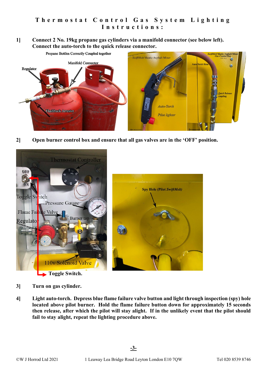**1] Connect 2 No. 19kg propane gas cylinders via a manifold connector (see below left). Connect the auto-torch to the quick release connector.** 



**2] Open burner control box and ensure that all gas valves are in the 'OFF' position.** 



- **3] Turn on gas cylinder.**
- **4] Light auto-torch. Depress blue flame failure valve button and light through inspection (spy) hole located above pilot burner. Hold the flame failure button down for approximately 15 seconds then release, after which the pilot will stay alight. If in the unlikely event that the pilot should fail to stay alight, repeat the lighting procedure above.**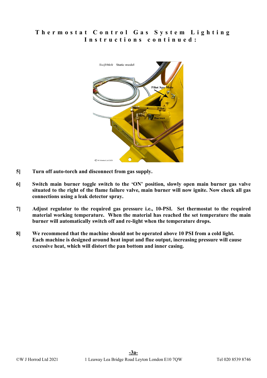### **Thermostat Control Gas System Lighting Instructions continued :**



- **5] Turn off auto-torch and disconnect from gas supply.**
- **6] Switch main burner toggle switch to the 'ON' position, slowly open main burner gas valve situated to the right of the flame failure valve, main burner will now ignite. Now check all gas connections using a leak detector spray.**
- **7] Adjust regulator to the required gas pressure i.e., 10-PSI. Set thermostat to the required material working temperature. When the material has reached the set temperature the main burner will automatically switch off and re-light when the temperature drops.**
- **8] We recommend that the machine should not be operated above 10 PSI from a cold light. Each machine is designed around heat input and flue output, increasing pressure will cause excessive heat, which will distort the pan bottom and inner casing.**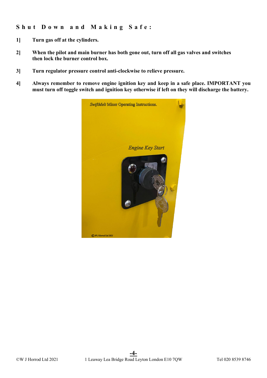### **Shut Down and Making Safe :**

- **1] Turn gas off at the cylinders.**
- **2] When the pilot and main burner has both gone out, turn off all gas valves and switches then lock the burner control box.**
- **3] Turn regulator pressure control anti-clockwise to relieve pressure.**
- **4] Always remember to remove engine ignition key and keep in a safe place. IMPORTANT you must turn off toggle switch and ignition key otherwise if left on they will discharge the battery.**

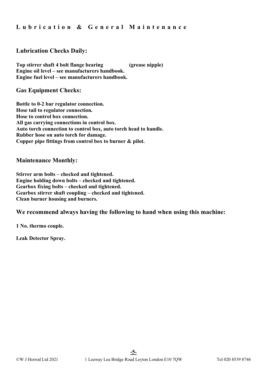**Lubrication & General Maintenance**

### **Lubrication Checks Daily:**

**Top stirrer shaft 4 bolt flange bearing (grease nipple) Engine oil level – see manufacturers handbook. Engine fuel level – see manufacturers handbook.**

**Gas Equipment Checks:**

**Bottle to 0-2 bar regulator connection. Hose tail to regulator connection. Hose to control box connection. All gas carrying connections in control box. Auto torch connection to control box, auto torch head to handle. Rubber hose on auto torch for damage. Copper pipe fittings from control box to burner & pilot.**

#### **Maintenance Monthly:**

**Stirrer arm bolts – checked and tightened. Engine holding down bolts – checked and tightened. Gearbox fixing bolts – checked and tightened. Gearbox stirrer shaft coupling – checked and tightened. Clean burner housing and burners.**

#### **We recommend always having the following to hand when using this machine:**

**1 No. thermo couple.**

**Leak Detector Spray.**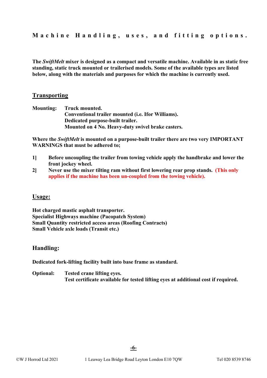**The** *SwiftMelt* **mixer is designed as a compact and versatile machine. Available in as static free standing, static truck mounted or trailerised models. Some of the available types are listed below, along with the materials and purposes for which the machine is currently used.** 

#### **Transporting**

**Mounting: Truck mounted. Conventional trailer mounted (i.e. Ifor Williams). Dedicated purpose-built trailer. Mounted on 4 No. Heavy-duty swivel brake casters.**

**Where the** *SwiftMelt* **is mounted on a purpose-built trailer there are two very IMPORTANT WARNINGS that must be adhered to;**

- **1] Before uncoupling the trailer from towing vehicle apply the handbrake and lower the front jockey wheel.**
- **2] Never use the mixer tilting ram without first lowering rear prop stands. (This only applies if the machine has been un-coupled from the towing vehicle).**

#### **Usage:**

**Hot charged mastic asphalt transporter. Specialist Highways machine (Pacopatch System) Small Quantity restricted access areas (Roofing Contracts) Small Vehicle axle loads (Transit etc.)**

#### **Handling:**

**Dedicated fork-lifting facility built into base frame as standard.**

**Optional: Tested crane lifting eyes. Test certificate available for tested lifting eyes at additional cost if required.**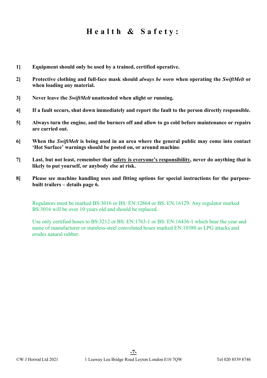## **Health & Safety:**

- **1] Equipment should only be used by a trained, certified operative.**
- **2] Protective clothing and full-face mask should** *always be worn* **when operating the** *SwiftMelt* **or when loading any material.**
- **3] Never leave the** *SwiftMelt* **unattended when alight or running.**
- **4] If a fault occurs, shut down immediately and report the fault to the person directly responsible.**
- **5] Always turn the engine, and the burners off and allow to go cold before maintenance or repairs are carried out.**
- **6] When the** *SwiftMelt* **is being used in an area where the general public may come into contact 'Hot Surface' warnings should be posted on, or around machine***.*
- **7] Last, but not least, remember that safety is everyone's responsibility, never do anything that is likely to put yourself, or anybody else at risk.**
- **8] Please see machine handling uses and fitting options for special instructions for the purposebuilt trailers – details page 6.**

Regulators must be marked BS:3016 or BS: EN:12864 or BS: EN:16129. Any regulator marked BS:3016 will be over 10 years old and should be replaced.

Use only certified hoses to BS:3212 or BS: EN:1763-1 or BS: EN:16436-1 which bear the year and name of manufacturer or stainless-steel convoluted hoses marked EN:10380 as LPG attacks and erodes natural rubber.